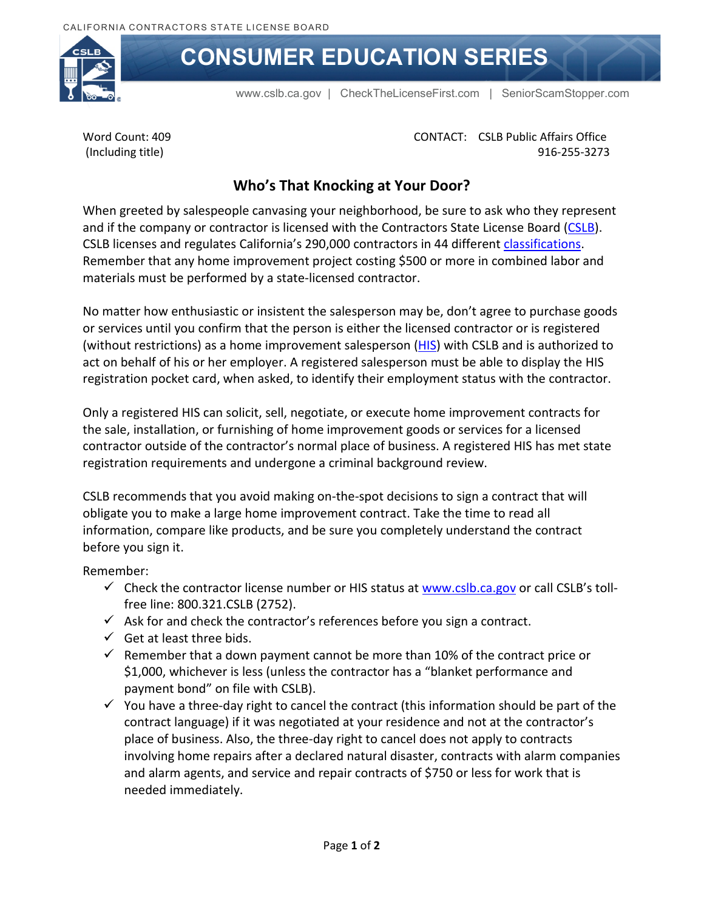

## **CONSUMER EDUCATION SERIES**

[www.cslb.ca.gov](http://www.cslb.ca.gov/) | [CheckTheLicenseFirst.com](http://www.CheckTheLicenseFirst.com) | [SeniorScamStopper.com](http://www.SeniorScamStopper.com) 

Word Count: 409 (Including title)

CONTACT: CSLB Public Affairs Office 916-255-3273

## **Who's That Knocking at Your Door?**

When greeted by salespeople canvasing your neighborhood, be sure to ask who they represent and if the company or contractor is licensed with the Contractors State License Board [\(CSLB\)](http://cslb.ca.gov/). CSLB licenses and regulates California's 290,000 contractors in 44 different [classifications.](http://www.cslb.ca.gov/About_Us/Library/Licensing_Classifications/C-61_Limited_Speciality/D-49_-_Tree_Service.aspx) Remember that any home improvement project costing \$500 or more in combined labor and materials must be performed by a state-licensed contractor.

No matter how enthusiastic or insistent the salesperson may be, don't agree to purchase goods or services until you confirm that the person is either the licensed contractor or is registered (without restrictions) as a home improvement salesperson [\(HIS\)](http://www.cslb.ca.gov/Contractors/Applicants/Home_Improvement_Registration/Before_Applying_For_HIS.aspx) with CSLB and is authorized to act on behalf of his or her employer. A registered salesperson must be able to display the HIS registration pocket card, when asked, to identify their employment status with the contractor.

Only a registered HIS can solicit, sell, negotiate, or execute home improvement contracts for the sale, installation, or furnishing of home improvement goods or services for a licensed contractor outside of the contractor's normal place of business. A registered HIS has met state registration requirements and undergone a criminal background review.

CSLB recommends that you avoid making on-the-spot decisions to sign a contract that will obligate you to make a large home improvement contract. Take the time to read all information, compare like products, and be sure you completely understand the contract before you sign it.

Remember:

- $\checkmark$  Check the contractor license number or HIS status at [www.cslb.ca.gov](http://www.cslb.ca.gov/) or call CSLB's tollfree line: 800.321.CSLB (2752).
- $\checkmark$  Ask for and check the contractor's references before you sign a contract.
- $\checkmark$  Get at least three bids.
- $\checkmark$  Remember that a down payment cannot be more than 10% of the contract price or \$1,000, whichever is less (unless the contractor has a "blanket performance and payment bond" on file with CSLB).
- $\checkmark$  You have a three-day right to cancel the contract (this information should be part of the contract language) if it was negotiated at your residence and not at the contractor's place of business. Also, the three-day right to cancel does not apply to contracts involving home repairs after a declared natural disaster, contracts with alarm companies and alarm agents, and service and repair contracts of \$750 or less for work that is needed immediately.